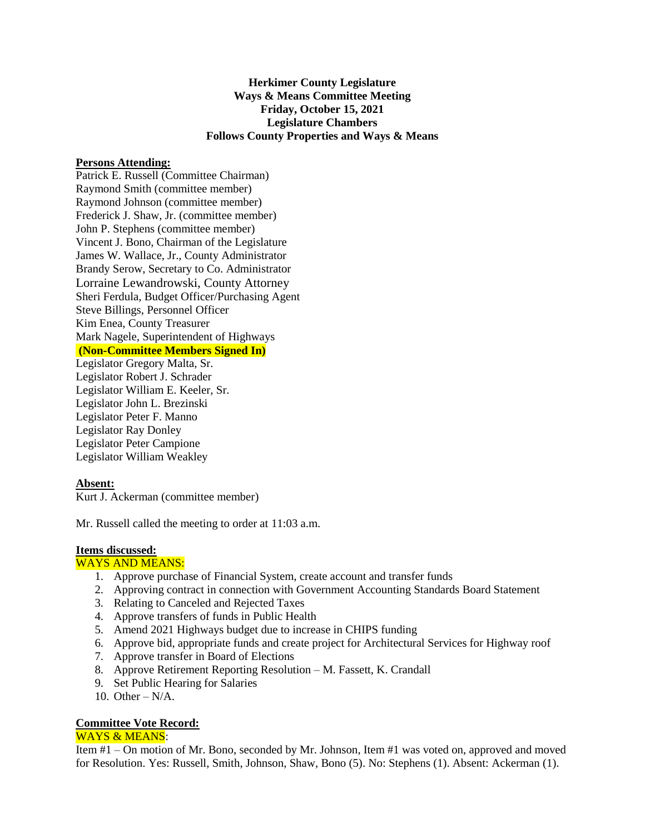# **Herkimer County Legislature Ways & Means Committee Meeting Friday, October 15, 2021 Legislature Chambers Follows County Properties and Ways & Means**

#### **Persons Attending:**

Patrick E. Russell (Committee Chairman) Raymond Smith (committee member) Raymond Johnson (committee member) Frederick J. Shaw, Jr. (committee member) John P. Stephens (committee member) Vincent J. Bono, Chairman of the Legislature James W. Wallace, Jr., County Administrator Brandy Serow, Secretary to Co. Administrator Lorraine Lewandrowski, County Attorney Sheri Ferdula, Budget Officer/Purchasing Agent Steve Billings, Personnel Officer Kim Enea, County Treasurer Mark Nagele, Superintendent of Highways **(Non-Committee Members Signed In)**

Legislator Gregory Malta, Sr. Legislator Robert J. Schrader Legislator William E. Keeler, Sr. Legislator John L. Brezinski Legislator Peter F. Manno Legislator Ray Donley Legislator Peter Campione Legislator William Weakley

## **Absent:**

Kurt J. Ackerman (committee member)

Mr. Russell called the meeting to order at 11:03 a.m.

## **Items discussed:**

# WAYS AND MEANS:

- 1. Approve purchase of Financial System, create account and transfer funds
- 2. Approving contract in connection with Government Accounting Standards Board Statement
- 3. Relating to Canceled and Rejected Taxes
- 4. Approve transfers of funds in Public Health
- 5. Amend 2021 Highways budget due to increase in CHIPS funding
- 6. Approve bid, appropriate funds and create project for Architectural Services for Highway roof
- 7. Approve transfer in Board of Elections
- 8. Approve Retirement Reporting Resolution M. Fassett, K. Crandall
- 9. Set Public Hearing for Salaries
- 10. Other N/A.

## **Committee Vote Record:**

#### WAYS & MEANS:

Item #1 – On motion of Mr. Bono, seconded by Mr. Johnson, Item #1 was voted on, approved and moved for Resolution. Yes: Russell, Smith, Johnson, Shaw, Bono (5). No: Stephens (1). Absent: Ackerman (1).